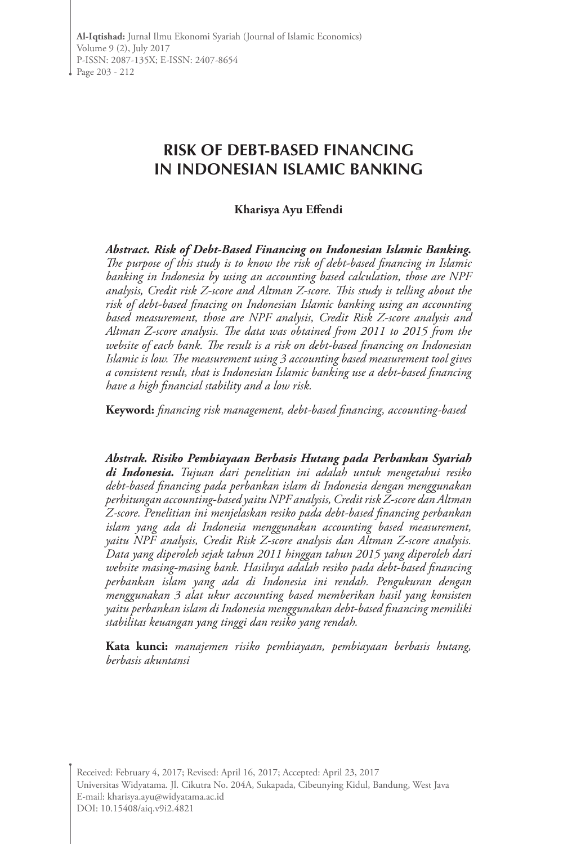# **RISK OF DEBT-BASED FINANCING IN INDONESIAN ISLAMIC BANKING**

#### **Kharisya Ayu Effendi**

*Abstract. Risk of Debt-Based Financing on Indonesian Islamic Banking. The purpose of this study is to know the risk of debt-based financing in Islamic banking in Indonesia by using an accounting based calculation, those are NPF analysis, Credit risk Z-score and Altman Z-score. This study is telling about the risk of debt-based finacing on Indonesian Islamic banking using an accounting based measurement, those are NPF analysis, Credit Risk Z-score analysis and Altman Z-score analysis. The data was obtained from 2011 to 2015 from the website of each bank. The result is a risk on debt-based financing on Indonesian Islamic is low. The measurement using 3 accounting based measurement tool gives a consistent result, that is Indonesian Islamic banking use a debt-based financing have a high financial stability and a low risk.*

**Keyword:** *financing risk management, debt-based financing, accounting-based*

*Abstrak. Risiko Pembiayaan Berbasis Hutang pada Perbankan Syariah di Indonesia. Tujuan dari penelitian ini adalah untuk mengetahui resiko debt-based financing pada perbankan islam di Indonesia dengan menggunakan perhitungan accounting-based yaitu NPF analysis, Credit risk Z-score dan Altman Z-score. Penelitian ini menjelaskan resiko pada debt-based financing perbankan islam yang ada di Indonesia menggunakan accounting based measurement, yaitu NPF analysis, Credit Risk Z-score analysis dan Altman Z-score analysis. Data yang diperoleh sejak tahun 2011 hinggan tahun 2015 yang diperoleh dari website masing-masing bank. Hasilnya adalah resiko pada debt-based financing perbankan islam yang ada di Indonesia ini rendah. Pengukuran dengan menggunakan 3 alat ukur accounting based memberikan hasil yang konsisten yaitu perbankan islam di Indonesia menggunakan debt-based financing memiliki stabilitas keuangan yang tinggi dan resiko yang rendah.*

**Kata kunci:** *manajemen risiko pembiayaan, pembiayaan berbasis hutang, berbasis akuntansi*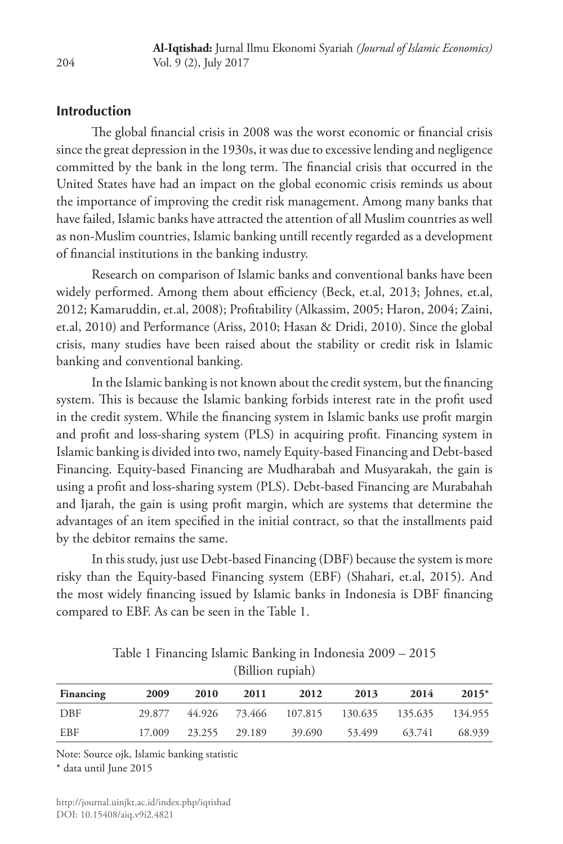#### **Introduction**

The global financial crisis in 2008 was the worst economic or financial crisis since the great depression in the 1930s, it was due to excessive lending and negligence committed by the bank in the long term. The financial crisis that occurred in the United States have had an impact on the global economic crisis reminds us about the importance of improving the credit risk management. Among many banks that have failed, Islamic banks have attracted the attention of all Muslim countries as well as non-Muslim countries, Islamic banking untill recently regarded as a development of financial institutions in the banking industry.

Research on comparison of Islamic banks and conventional banks have been widely performed. Among them about efficiency (Beck, et.al, 2013; Johnes, et.al, 2012; Kamaruddin, et.al, 2008); Profitability (Alkassim, 2005; Haron, 2004; Zaini, et.al, 2010) and Performance (Ariss, 2010; Hasan & Dridi, 2010). Since the global crisis, many studies have been raised about the stability or credit risk in Islamic banking and conventional banking.

In the Islamic banking is not known about the credit system, but the financing system. This is because the Islamic banking forbids interest rate in the profit used in the credit system. While the financing system in Islamic banks use profit margin and profit and loss-sharing system (PLS) in acquiring profit. Financing system in Islamic banking is divided into two, namely Equity-based Financing and Debt-based Financing. Equity-based Financing are Mudharabah and Musyarakah, the gain is using a profit and loss-sharing system (PLS). Debt-based Financing are Murabahah and Ijarah, the gain is using profit margin, which are systems that determine the advantages of an item specified in the initial contract, so that the installments paid by the debitor remains the same.

In this study, just use Debt-based Financing (DBF) because the system is more risky than the Equity-based Financing system (EBF) (Shahari, et.al, 2015). And the most widely financing issued by Islamic banks in Indonesia is DBF financing compared to EBF. As can be seen in the Table 1.

| Financing | 2009   | 2010          | 2011 | 2012                                          | 2013   | 2014   | $2015*$ |
|-----------|--------|---------------|------|-----------------------------------------------|--------|--------|---------|
| DBF       | 29.877 |               |      | 44.926 73.466 107.815 130.635 135.635 134.955 |        |        |         |
| EBF       | 17.009 | 23.255 29.189 |      | 39.690                                        | 53.499 | 63.741 | 68.939  |

Table 1 Financing Islamic Banking in Indonesia 2009 – 2015 (Billion rupiah)

Note: Source ojk, Islamic banking statistic

\* data until June 2015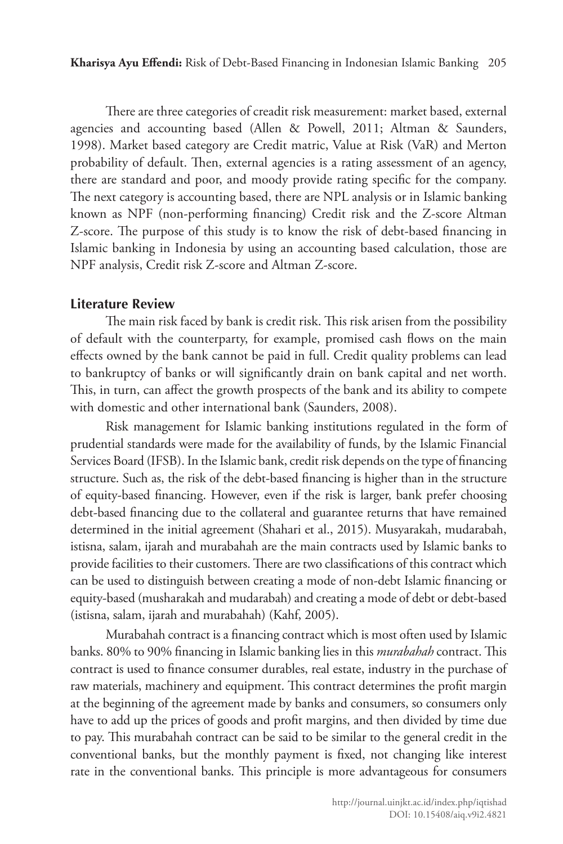There are three categories of creadit risk measurement: market based, external agencies and accounting based (Allen & Powell, 2011; Altman & Saunders, 1998). Market based category are Credit matric, Value at Risk (VaR) and Merton probability of default. Then, external agencies is a rating assessment of an agency, there are standard and poor, and moody provide rating specific for the company. The next category is accounting based, there are NPL analysis or in Islamic banking known as NPF (non-performing financing) Credit risk and the Z-score Altman Z-score. The purpose of this study is to know the risk of debt-based financing in Islamic banking in Indonesia by using an accounting based calculation, those are NPF analysis, Credit risk Z-score and Altman Z-score.

### **Literature Review**

The main risk faced by bank is credit risk. This risk arisen from the possibility of default with the counterparty, for example, promised cash flows on the main effects owned by the bank cannot be paid in full. Credit quality problems can lead to bankruptcy of banks or will significantly drain on bank capital and net worth. This, in turn, can affect the growth prospects of the bank and its ability to compete with domestic and other international bank (Saunders, 2008).

Risk management for Islamic banking institutions regulated in the form of prudential standards were made for the availability of funds, by the Islamic Financial Services Board (IFSB). In the Islamic bank, credit risk depends on the type of financing structure. Such as, the risk of the debt-based financing is higher than in the structure of equity-based financing. However, even if the risk is larger, bank prefer choosing debt-based financing due to the collateral and guarantee returns that have remained determined in the initial agreement (Shahari et al., 2015). Musyarakah, mudarabah, istisna, salam, ijarah and murabahah are the main contracts used by Islamic banks to provide facilities to their customers. There are two classifications of this contract which can be used to distinguish between creating a mode of non-debt Islamic financing or equity-based (musharakah and mudarabah) and creating a mode of debt or debt-based (istisna, salam, ijarah and murabahah) (Kahf, 2005).

Murabahah contract is a financing contract which is most often used by Islamic banks. 80% to 90% financing in Islamic banking lies in this *murabahah* contract. This contract is used to finance consumer durables, real estate, industry in the purchase of raw materials, machinery and equipment. This contract determines the profit margin at the beginning of the agreement made by banks and consumers, so consumers only have to add up the prices of goods and profit margins, and then divided by time due to pay. This murabahah contract can be said to be similar to the general credit in the conventional banks, but the monthly payment is fixed, not changing like interest rate in the conventional banks. This principle is more advantageous for consumers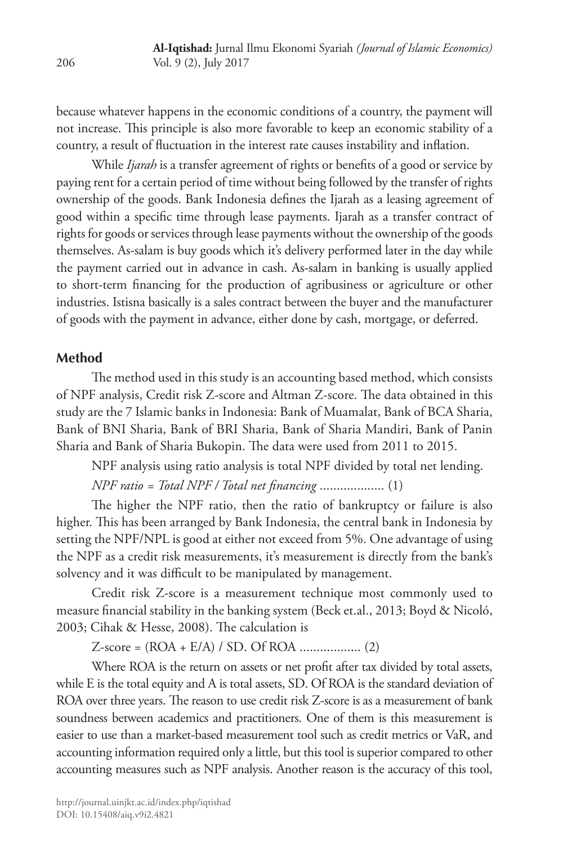because whatever happens in the economic conditions of a country, the payment will not increase. This principle is also more favorable to keep an economic stability of a country, a result of fluctuation in the interest rate causes instability and inflation.

While *Ijarah* is a transfer agreement of rights or benefits of a good or service by paying rent for a certain period of time without being followed by the transfer of rights ownership of the goods. Bank Indonesia defines the Ijarah as a leasing agreement of good within a specific time through lease payments. Ijarah as a transfer contract of rights for goods or services through lease payments without the ownership of the goods themselves. As-salam is buy goods which it's delivery performed later in the day while the payment carried out in advance in cash. As-salam in banking is usually applied to short-term financing for the production of agribusiness or agriculture or other industries. Istisna basically is a sales contract between the buyer and the manufacturer of goods with the payment in advance, either done by cash, mortgage, or deferred.

### **Method**

The method used in this study is an accounting based method, which consists of NPF analysis, Credit risk Z-score and Altman Z-score. The data obtained in this study are the 7 Islamic banks in Indonesia: Bank of Muamalat, Bank of BCA Sharia, Bank of BNI Sharia, Bank of BRI Sharia, Bank of Sharia Mandiri, Bank of Panin Sharia and Bank of Sharia Bukopin. The data were used from 2011 to 2015.

NPF analysis using ratio analysis is total NPF divided by total net lending.

*NPF ratio = Total NPF / Total net financing* ................... (1)

The higher the NPF ratio, then the ratio of bankruptcy or failure is also higher. This has been arranged by Bank Indonesia, the central bank in Indonesia by setting the NPF/NPL is good at either not exceed from 5%. One advantage of using the NPF as a credit risk measurements, it's measurement is directly from the bank's solvency and it was difficult to be manipulated by management.

Credit risk Z-score is a measurement technique most commonly used to measure financial stability in the banking system (Beck et.al., 2013; Boyd & Nicoló, 2003; Cihak & Hesse, 2008). The calculation is

Z-score = (ROA + E/A) / SD. Of ROA .................. (2)

Where ROA is the return on assets or net profit after tax divided by total assets, while E is the total equity and A is total assets, SD. Of ROA is the standard deviation of ROA over three years. The reason to use credit risk Z-score is as a measurement of bank soundness between academics and practitioners. One of them is this measurement is easier to use than a market-based measurement tool such as credit metrics or VaR, and accounting information required only a little, but this tool is superior compared to other accounting measures such as NPF analysis. Another reason is the accuracy of this tool,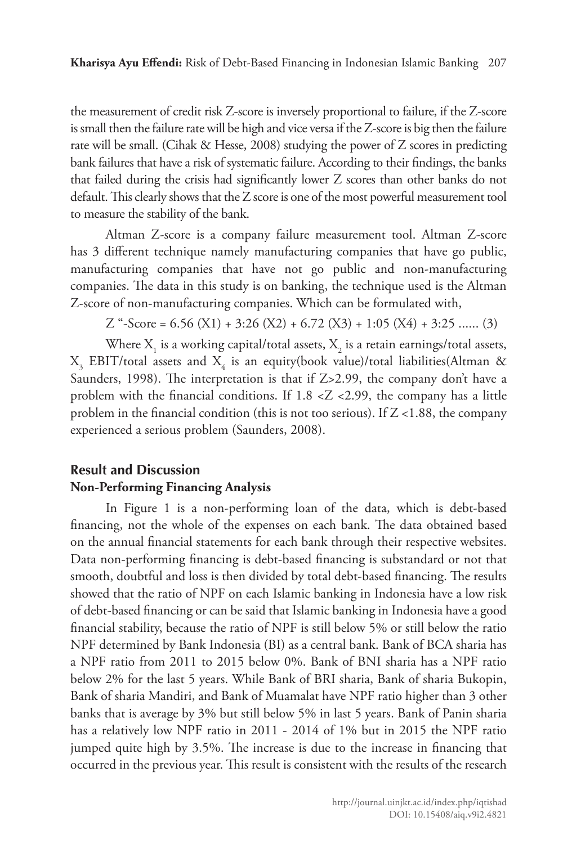the measurement of credit risk Z-score is inversely proportional to failure, if the Z-score is small then the failure rate will be high and vice versa if the Z-score is big then the failure rate will be small. (Cihak & Hesse, 2008) studying the power of Z scores in predicting bank failures that have a risk of systematic failure. According to their findings, the banks that failed during the crisis had significantly lower Z scores than other banks do not default. This clearly shows that the Z score is one of the most powerful measurement tool to measure the stability of the bank.

Altman Z-score is a company failure measurement tool. Altman Z-score has 3 different technique namely manufacturing companies that have go public, manufacturing companies that have not go public and non-manufacturing companies. The data in this study is on banking, the technique used is the Altman Z-score of non-manufacturing companies. Which can be formulated with,

Z "-Score =  $6.56$  (X1) +  $3:26$  (X2) +  $6.72$  (X3) +  $1:05$  (X4) +  $3:25$  ...... (3)

Where  $X_i$  is a working capital/total assets,  $X_2$  is a retain earnings/total assets,  $X_{3}$  EBIT/total assets and  $X_{4}$  is an equity(book value)/total liabilities(Altman & Saunders, 1998). The interpretation is that if Z>2.99, the company don't have a problem with the financial conditions. If  $1.8 < Z < 2.99$ , the company has a little problem in the financial condition (this is not too serious). If Z <1.88, the company experienced a serious problem (Saunders, 2008).

### **Result and Discussion Non-Performing Financing Analysis**

In Figure 1 is a non-performing loan of the data, which is debt-based financing, not the whole of the expenses on each bank. The data obtained based on the annual financial statements for each bank through their respective websites. Data non-performing financing is debt-based financing is substandard or not that smooth, doubtful and loss is then divided by total debt-based financing. The results showed that the ratio of NPF on each Islamic banking in Indonesia have a low risk of debt-based financing or can be said that Islamic banking in Indonesia have a good financial stability, because the ratio of NPF is still below 5% or still below the ratio NPF determined by Bank Indonesia (BI) as a central bank. Bank of BCA sharia has a NPF ratio from 2011 to 2015 below 0%. Bank of BNI sharia has a NPF ratio below 2% for the last 5 years. While Bank of BRI sharia, Bank of sharia Bukopin, Bank of sharia Mandiri, and Bank of Muamalat have NPF ratio higher than 3 other banks that is average by 3% but still below 5% in last 5 years. Bank of Panin sharia has a relatively low NPF ratio in 2011 - 2014 of 1% but in 2015 the NPF ratio jumped quite high by 3.5%. The increase is due to the increase in financing that occurred in the previous year. This result is consistent with the results of the research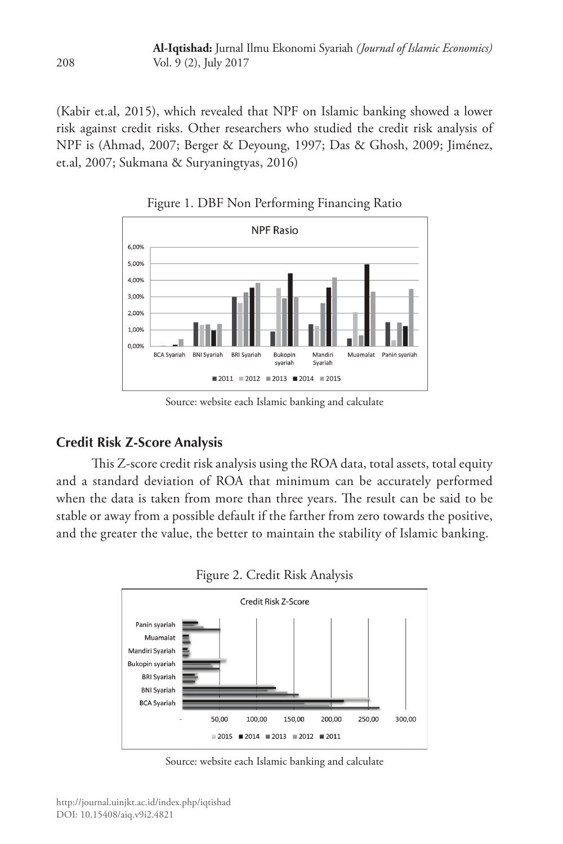(Kabir et.al, 2015), which revealed that NPF on Islamic banking showed a lower risk against credit risks. Other researchers who studied the credit risk analysis of NPF is (Ahmad, 2007; Berger & Deyoung, 1997; Das & Ghosh, 2009; Jiménez, et.al, 2007; Sukmana & Suryaningtyas, 2016)



Figure 1. DBF Non Performing Financing Ratio

Source: website each Islamic banking and calculate

## **Credit Risk Z-Score Analysis**

This Z-score credit risk analysis using the ROA data, total assets, total equity and a standard deviation of ROA that minimum can be accurately performed when the data is taken from more than three years. The result can be said to be stable or away from a possible default if the farther from zero towards the positive, and the greater the value, the better to maintain the stability of Islamic banking.



Source: website each Islamic banking and calculate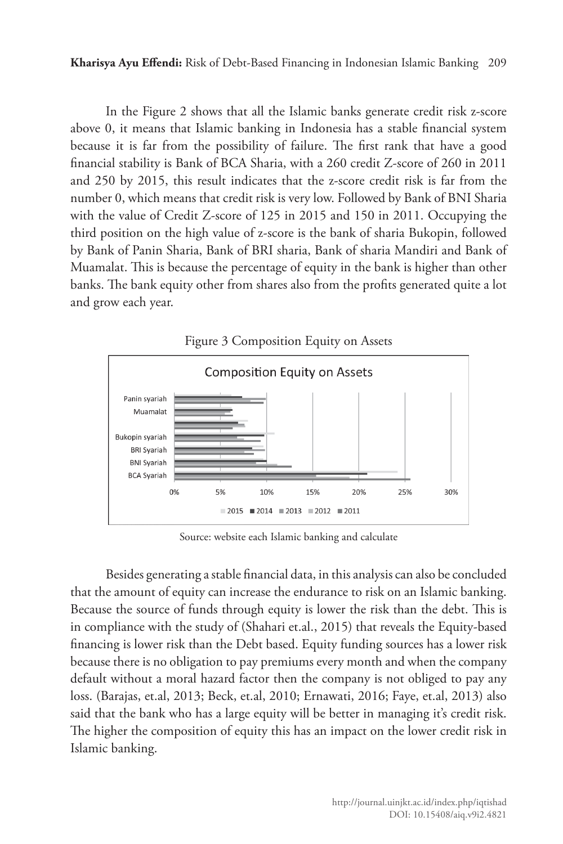**Kharisya Ayu Effendi:** Risk of Debt-Based Financing in Indonesian Islamic Banking 209

In the Figure 2 shows that all the Islamic banks generate credit risk z-score above 0, it means that Islamic banking in Indonesia has a stable financial system because it is far from the possibility of failure. The first rank that have a good financial stability is Bank of BCA Sharia, with a 260 credit Z-score of 260 in 2011 and 250 by 2015, this result indicates that the z-score credit risk is far from the number 0, which means that credit risk is very low. Followed by Bank of BNI Sharia with the value of Credit Z-score of 125 in 2015 and 150 in 2011. Occupying the third position on the high value of z-score is the bank of sharia Bukopin, followed by Bank of Panin Sharia, Bank of BRI sharia, Bank of sharia Mandiri and Bank of Muamalat. This is because the percentage of equity in the bank is higher than other banks. The bank equity other from shares also from the profits generated quite a lot and grow each year.



Source: website each Islamic banking and calculate

Besides generating a stable financial data, in this analysis can also be concluded that the amount of equity can increase the endurance to risk on an Islamic banking. Because the source of funds through equity is lower the risk than the debt. This is in compliance with the study of (Shahari et.al., 2015) that reveals the Equity-based financing is lower risk than the Debt based. Equity funding sources has a lower risk because there is no obligation to pay premiums every month and when the company default without a moral hazard factor then the company is not obliged to pay any loss. (Barajas, et.al, 2013; Beck, et.al, 2010; Ernawati, 2016; Faye, et.al, 2013) also said that the bank who has a large equity will be better in managing it's credit risk. The higher the composition of equity this has an impact on the lower credit risk in Islamic banking.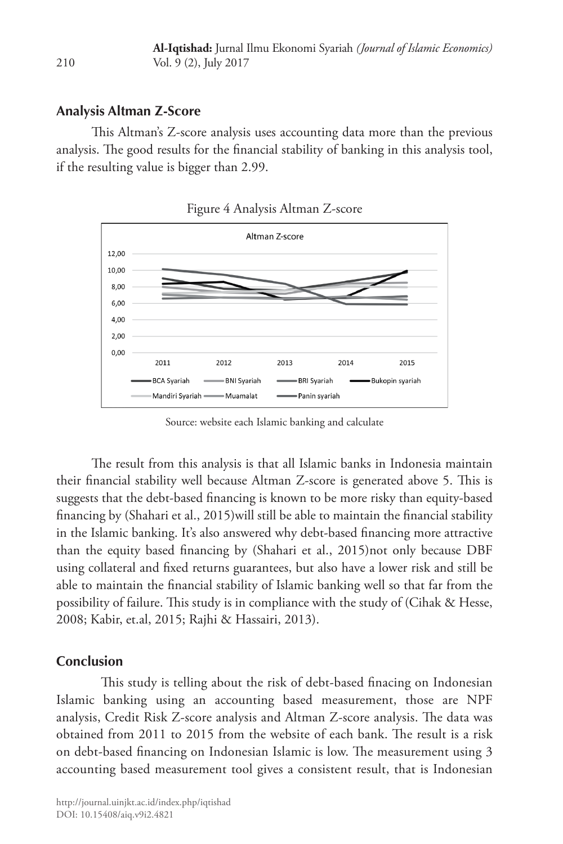### **Analysis Altman Z-Score**

210

This Altman's Z-score analysis uses accounting data more than the previous analysis. The good results for the financial stability of banking in this analysis tool, if the resulting value is bigger than 2.99.



Figure 4 Analysis Altman Z-score

Source: website each Islamic banking and calculate

The result from this analysis is that all Islamic banks in Indonesia maintain their financial stability well because Altman Z-score is generated above 5. This is suggests that the debt-based financing is known to be more risky than equity-based financing by (Shahari et al., 2015)will still be able to maintain the financial stability in the Islamic banking. It's also answered why debt-based financing more attractive than the equity based financing by (Shahari et al., 2015)not only because DBF using collateral and fixed returns guarantees, but also have a lower risk and still be able to maintain the financial stability of Islamic banking well so that far from the possibility of failure. This study is in compliance with the study of (Cihak & Hesse, 2008; Kabir, et.al, 2015; Rajhi & Hassairi, 2013).

### **Conclusion**

This study is telling about the risk of debt-based finacing on Indonesian Islamic banking using an accounting based measurement, those are NPF analysis, Credit Risk Z-score analysis and Altman Z-score analysis. The data was obtained from 2011 to 2015 from the website of each bank. The result is a risk on debt-based financing on Indonesian Islamic is low. The measurement using 3 accounting based measurement tool gives a consistent result, that is Indonesian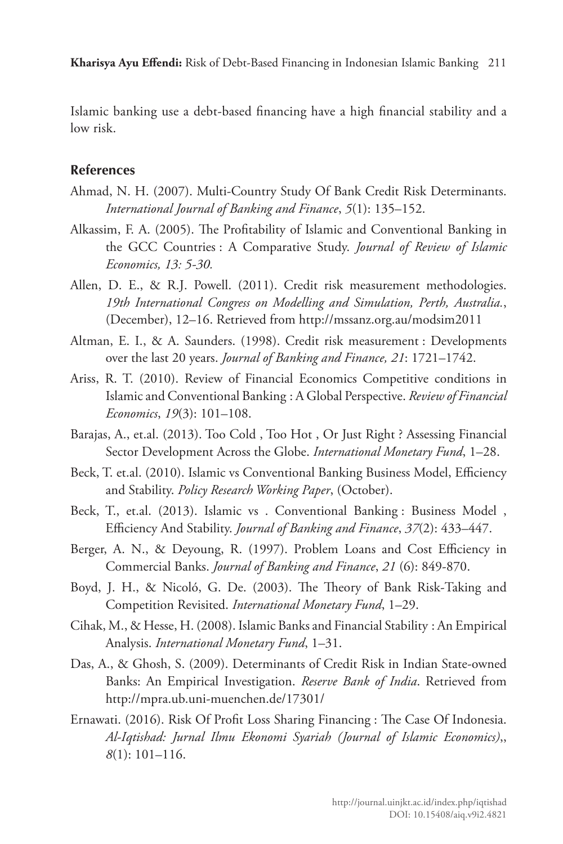Islamic banking use a debt-based financing have a high financial stability and a low risk.

#### **References**

- Ahmad, N. H. (2007). Multi-Country Study Of Bank Credit Risk Determinants. *International Journal of Banking and Finance*, *5*(1): 135–152.
- Alkassim, F. A. (2005). The Profitability of Islamic and Conventional Banking in the GCC Countries : A Comparative Study. *Journal of Review of Islamic Economics, 13: 5-30.*
- Allen, D. E., & R.J. Powell. (2011). Credit risk measurement methodologies. *19th International Congress on Modelling and Simulation, Perth, Australia.*, (December), 12–16. Retrieved from http://mssanz.org.au/modsim2011
- Altman, E. I., & A. Saunders. (1998). Credit risk measurement : Developments over the last 20 years. *Journal of Banking and Finance, 21*: 1721–1742.
- Ariss, R. T. (2010). Review of Financial Economics Competitive conditions in Islamic and Conventional Banking : A Global Perspective. *Review of Financial Economics*, *19*(3): 101–108.
- Barajas, A., et.al. (2013). Too Cold , Too Hot , Or Just Right ? Assessing Financial Sector Development Across the Globe. *International Monetary Fund*, 1–28.
- Beck, T. et.al. (2010). Islamic vs Conventional Banking Business Model, Efficiency and Stability. *Policy Research Working Paper*, (October).
- Beck, T., et.al. (2013). Islamic vs . Conventional Banking : Business Model , Efficiency And Stability. *Journal of Banking and Finance*, *37*(2): 433–447.
- Berger, A. N., & Deyoung, R. (1997). Problem Loans and Cost Efficiency in Commercial Banks. *Journal of Banking and Finance*, *21* (6): 849-870.
- Boyd, J. H., & Nicoló, G. De. (2003). The Theory of Bank Risk-Taking and Competition Revisited. *International Monetary Fund*, 1–29.
- Cihak, M., & Hesse, H. (2008). Islamic Banks and Financial Stability : An Empirical Analysis. *International Monetary Fund*, 1–31.
- Das, A., & Ghosh, S. (2009). Determinants of Credit Risk in Indian State-owned Banks: An Empirical Investigation. *Reserve Bank of India*. Retrieved from http://mpra.ub.uni-muenchen.de/17301/
- Ernawati. (2016). Risk Of Profit Loss Sharing Financing : The Case Of Indonesia. *Al-Iqtishad: Jurnal Ilmu Ekonomi Syariah (Journal of Islamic Economics)*,, *8*(1): 101–116.